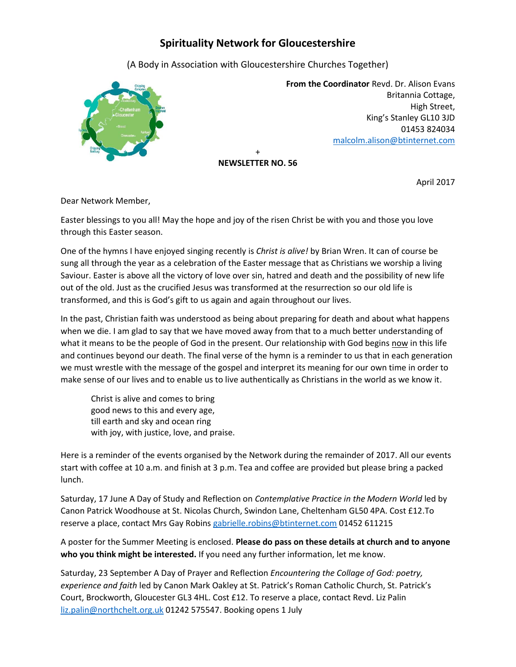## **Spirituality Network for Gloucestershire**

(A Body in Association with Gloucestershire Churches Together)



 **From the Coordinator** Revd. Dr. Alison Evans Britannia Cottage, High Street, King's Stanley GL10 3JD 01453 824034 [malcolm.alison@btinternet.com](mailto:malcolm.alison@btinternet.com)

+ **NEWSLETTER NO. 56**

April 2017

Dear Network Member,

Easter blessings to you all! May the hope and joy of the risen Christ be with you and those you love through this Easter season.

One of the hymns I have enjoyed singing recently is *Christ is alive!* by Brian Wren. It can of course be sung all through the year as a celebration of the Easter message that as Christians we worship a living Saviour. Easter is above all the victory of love over sin, hatred and death and the possibility of new life out of the old. Just as the crucified Jesus was transformed at the resurrection so our old life is transformed, and this is God's gift to us again and again throughout our lives.

In the past, Christian faith was understood as being about preparing for death and about what happens when we die. I am glad to say that we have moved away from that to a much better understanding of what it means to be the people of God in the present. Our relationship with God begins now in this life and continues beyond our death. The final verse of the hymn is a reminder to us that in each generation we must wrestle with the message of the gospel and interpret its meaning for our own time in order to make sense of our lives and to enable us to live authentically as Christians in the world as we know it.

Christ is alive and comes to bring good news to this and every age, till earth and sky and ocean ring with joy, with justice, love, and praise.

Here is a reminder of the events organised by the Network during the remainder of 2017. All our events start with coffee at 10 a.m. and finish at 3 p.m. Tea and coffee are provided but please bring a packed lunch.

Saturday, 17 June A Day of Study and Reflection on *Contemplative Practice in the Modern World* led by Canon Patrick Woodhouse at St. Nicolas Church, Swindon Lane, Cheltenham GL50 4PA. Cost £12.To reserve a place, contact Mrs Gay Robins [gabrielle.robins@btinternet.com](mailto:gabrielle.robins@btinternet.com) 01452 611215

A poster for the Summer Meeting is enclosed. **Please do pass on these details at church and to anyone who you think might be interested.** If you need any further information, let me know.

Saturday, 23 September A Day of Prayer and Reflection *Encountering the Collage of God: poetry, experience and faith* led by Canon Mark Oakley at St. Patrick's Roman Catholic Church, St. Patrick's Court, Brockworth, Gloucester GL3 4HL. Cost £12. To reserve a place, contact Revd. Liz Palin [liz.palin@northchelt.org.uk](mailto:liz.palin@northchelt.org.uk) 01242 575547. Booking opens 1 July